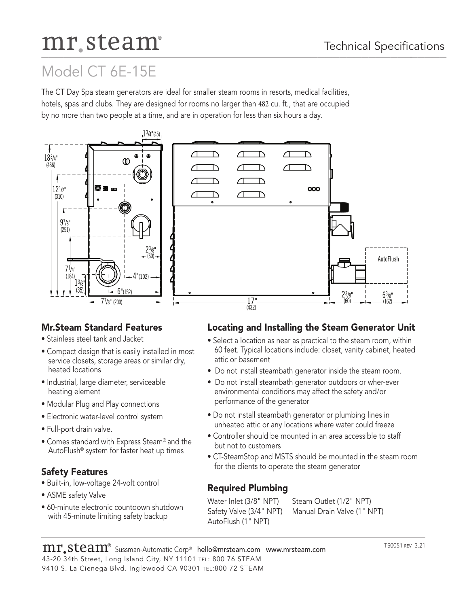# mr.steam®

# Model CT 6E-15E

The CT Day Spa steam generators are ideal for smaller steam rooms in resorts, medical facilities, hotels, spas and clubs. They are designed for rooms no larger than 482 cu. ft., that are occupied by no more than two people at a time, and are in operation for less than six hours a day.





# **Mr.Steam Standard Features**

- Stainless steel tank and Jacket
- Compact design that is easily installed in most service closets, storage areas or similar dry, heated locations
- Industrial, large diameter, serviceable heating element
- Modular Plug and Play connections
- Electronic water-level control system
- Full-port drain valve.
- Comes standard with Express Steam® and the AutoFlush® system for faster heat up times

# **Safety Features**

- Built-in, low-voltage 24-volt control
- ASME safety Valve
- 60-minute electronic countdown shutdown with 45-minute limiting safety backup

#### **Locating and Installing the Steam Generator Unit**

- Select a location as near as practical to the steam room, within 60 feet. Typical locations include: closet, vanity cabinet, heated attic or basement
- Do not install steambath generator inside the steam room.
- Do not install steambath generator outdoors or wher-ever environmental conditions may affect the safety and/or performance of the generator
- Do not install steambath generator or plumbing lines in unheated attic or any locations where water could freeze
- Controller should be mounted in an area accessible to staff but not to customers
- CT-SteamStop and MSTS should be mounted in the steam room for the clients to operate the steam generator

# **Required Plumbing**

Water Inlet (3/8" NPT) Steam Outlet (1/2" NPT) AutoFlush (1" NPT)

Safety Valve (3/4" NPT) Manual Drain Valve (1" NPT)